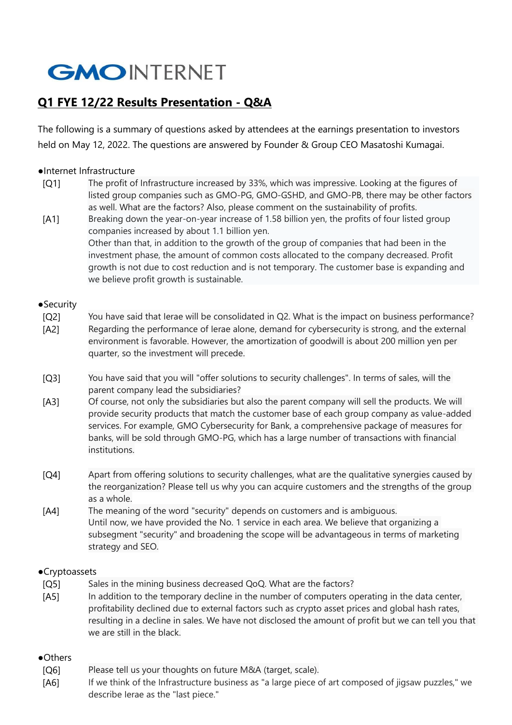# **GMOINTERNET**

### **Q1 FYE 12/22 Results Presentation - Q&A**

The following is a summary of questions asked by attendees at the earnings presentation to investors held on May 12, 2022. The questions are answered by Founder & Group CEO Masatoshi Kumagai.

#### ●Internet Infrastructure

- [Q1] The profit of Infrastructure increased by 33%, which was impressive. Looking at the figures of listed group companies such as GMO-PG, GMO-GSHD, and GMO-PB, there may be other factors as well. What are the factors? Also, please comment on the sustainability of profits.
- [A1] Breaking down the year-on-year increase of 1.58 billion yen, the profits of four listed group companies increased by about 1.1 billion yen. Other than that, in addition to the growth of the group of companies that had been in the investment phase, the amount of common costs allocated to the company decreased. Profit

growth is not due to cost reduction and is not temporary. The customer base is expanding and we believe profit growth is sustainable.

#### ● Security

- [Q2] You have said that Ierae will be consolidated in Q2. What is the impact on business performance? [A2] Regarding the performance of Ierae alone, demand for cybersecurity is strong, and the external environment is favorable. However, the amortization of goodwill is about 200 million yen per quarter, so the investment will precede.
- [Q3] You have said that you will "offer solutions to security challenges". In terms of sales, will the parent company lead the subsidiaries?
- [A3] Of course, not only the subsidiaries but also the parent company will sell the products. We will provide security products that match the customer base of each group company as value-added services. For example, GMO Cybersecurity for Bank, a comprehensive package of measures for banks, will be sold through GMO-PG, which has a large number of transactions with financial institutions.
- [Q4] Apart from offering solutions to security challenges, what are the qualitative synergies caused by the reorganization? Please tell us why you can acquire customers and the strengths of the group as a whole.
- [A4] The meaning of the word "security" depends on customers and is ambiguous. Until now, we have provided the No. 1 service in each area. We believe that organizing a subsegment "security" and broadening the scope will be advantageous in terms of marketing strategy and SEO.

#### ●Cryptoassets

- [Q5] Sales in the mining business decreased QoQ. What are the factors?
- [A5] In addition to the temporary decline in the number of computers operating in the data center, profitability declined due to external factors such as crypto asset prices and global hash rates, resulting in a decline in sales. We have not disclosed the amount of profit but we can tell you that we are still in the black.

#### ●Others

- [Q6] Please tell us your thoughts on future M&A (target, scale).
- [A6] If we think of the Infrastructure business as "a large piece of art composed of jigsaw puzzles," we describe Ierae as the "last piece."